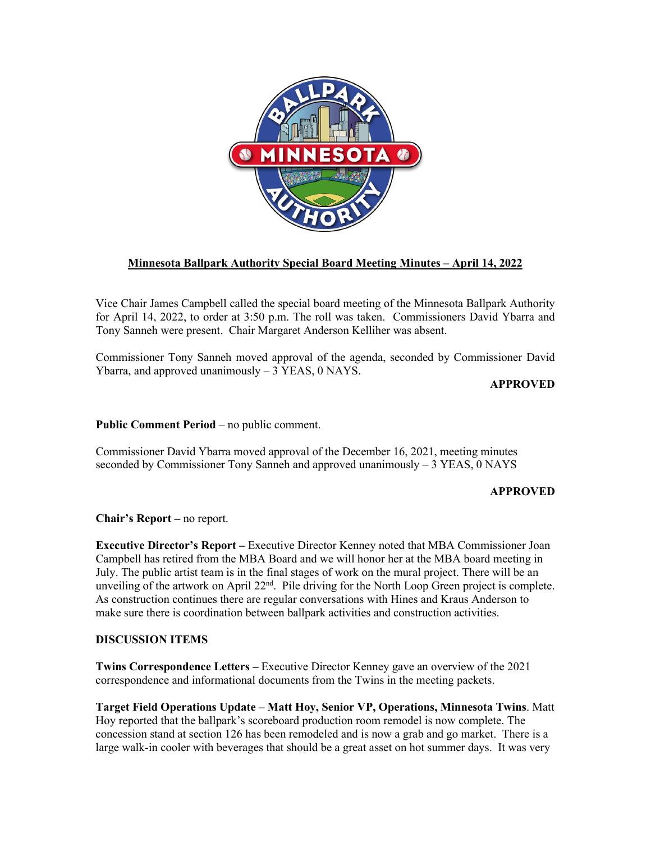

## **Minnesota Ballpark Authority Special Board Meeting Minutes – April 14, 2022**

Vice Chair James Campbell called the special board meeting of the Minnesota Ballpark Authority for April 14, 2022, to order at 3:50 p.m. The roll was taken. Commissioners David Ybarra and Tony Sanneh were present. Chair Margaret Anderson Kelliher was absent.

Commissioner Tony Sanneh moved approval of the agenda, seconded by Commissioner David Ybarra, and approved unanimously – 3 YEAS, 0 NAYS.

**APPROVED**

**Public Comment Period** – no public comment.

Commissioner David Ybarra moved approval of the December 16, 2021, meeting minutes seconded by Commissioner Tony Sanneh and approved unanimously  $-3$  YEAS, 0 NAYS

## **APPROVED**

**Chair's Report –** no report.

**Executive Director's Report –** Executive Director Kenney noted that MBA Commissioner Joan Campbell has retired from the MBA Board and we will honor her at the MBA board meeting in July. The public artist team is in the final stages of work on the mural project. There will be an unveiling of the artwork on April  $22<sup>nd</sup>$ . Pile driving for the North Loop Green project is complete. As construction continues there are regular conversations with Hines and Kraus Anderson to make sure there is coordination between ballpark activities and construction activities.

## **DISCUSSION ITEMS**

**Twins Correspondence Letters –** Executive Director Kenney gave an overview of the 2021 correspondence and informational documents from the Twins in the meeting packets.

**Target Field Operations Update** – **Matt Hoy, Senior VP, Operations, Minnesota Twins**. Matt Hoy reported that the ballpark's scoreboard production room remodel is now complete. The concession stand at section 126 has been remodeled and is now a grab and go market. There is a large walk-in cooler with beverages that should be a great asset on hot summer days. It was very